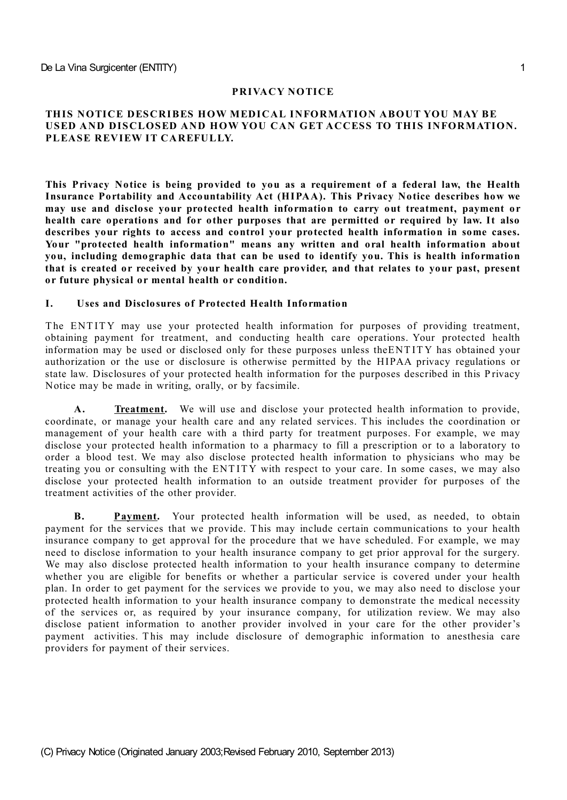### **PRIVACY NOTICE**

### **THIS NOTICE DESCRIBES HOW MEDICAL INFORMATION ABOUT YOU MAY BE USED AND DISCLOSED AND HOW YOU CAN GET ACCESS TO THIS INFORMATION. PLEASE REVIEW IT CAREFULLY.**

**This Privacy Notice is being provided to you as a requirement of a federal law, the Health Insurance Portability and Accountability Act (HIPAA). This Privacy Notice describes how we may use and disclose your protected health information to carry out treatment, payment or health care operations and for other purposes that are permitted or required by law. It also describes your rights to access and control your protected health information in some cases. Your "protected health information" means any written and oral health information about you, including demographic data that can be used to identify you. This is health information that is created or received by your health care provider, and that relates to your past, present or future physical or mental health or condition.**

#### **I. Uses and Disclosures of Protected Health Information**

The ENTITY may use your protected health information for purposes of providing treatment, obtaining payment for treatment, and conducting health care operations. Your protected health information may be used or disclosed only for these purposes unless theENT ITY has obtained your authorization or the use or disclosure is otherwise permitted by the HIPAA privacy regulations or state law. Disclosures of your protected health information for the purposes described in this Privacy Notice may be made in writing, orally, or by facsimile.

**A. Treatment.** We will use and disclose your protected health information to provide, coordinate, or manage your health care and any related services. T his includes the coordination or management of your health care with a third party for treatment purposes. For example, we may disclose your protected health information to a pharmacy to fill a prescription or to a laboratory to order a blood test. We may also disclose protected health information to physicians who may be treating you or consulting with the ENT ITY with respect to your care. In some cases, we may also disclose your protected health information to an outside treatment provider for purposes of the treatment activities of the other provider.

**B. Payment.** Your protected health information will be used, as needed, to obtain payment for the services that we provide. T his may include certain communications to your health insurance company to get approval for the procedure that we have scheduled. For example, we may need to disclose information to your health insurance company to get prior approval for the surgery. We may also disclose protected health information to your health insurance company to determine whether you are eligible for benefits or whether a particular service is covered under your health plan. In order to get payment for the services we provide to you, we may also need to disclose your protected health information to your health insurance company to demonstrate the medical necessity of the services or, as required by your insurance company, for utilization review. We may also disclose patient information to another provider involved in your care for the other provider's payment activities. This may include disclosure of demographic information to anesthesia care providers for payment of their services.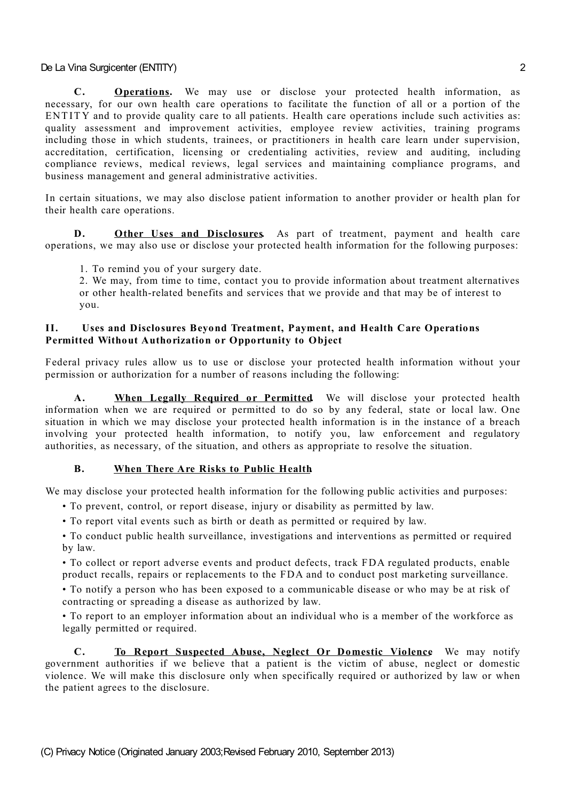**C. Operations.** We may use or disclose your protected health information, as necessary, for our own health care operations to facilitate the function of all or a portion of the ENTITY and to provide quality care to all patients. Health care operations include such activities as: quality assessment and improvement activities, employee review activities, training programs including those in which students, trainees, or practitioners in health care learn under supervision, accreditation, certification, licensing or credentialing activities, review and auditing, including compliance reviews, medical reviews, legal services and maintaining compliance programs, and business management and general administrative activities.

In certain situations, we may also disclose patient information to another provider or health plan for their health care operations.

**D. Other Uses and Disclosures.** As part of treatment, payment and health care operations, we may also use or disclose your protected health information for the following purposes:

1. To remind you of your surgery date.

2. We may, from time to time, contact you to provide information about treatment alternatives or other health-related benefits and services that we provide and that may be of interest to you.

### **II. Uses and Disclosures Beyond Treatment, Payment, and Health Care Operations Permitted Without Authorization or Opportunity to Object**

Federal privacy rules allow us to use or disclose your protected health information without your permission or authorization for a number of reasons including the following:

**A. When Legally Required or Permitted.** We will disclose your protected health information when we are required or permitted to do so by any federal, state or local law. One situation in which we may disclose your protected health information is in the instance of a breach involving your protected health information, to notify you, law enforcement and regulatory authorities, as necessary, of the situation, and others as appropriate to resolve the situation.

## **B. When There Are Risks to Public Health.**

We may disclose your protected health information for the following public activities and purposes:

- To prevent, control, or report disease, injury or disability as permitted by law.
- To report vital events such as birth or death as permitted or required by law.

• To conduct public health surveillance, investigations and interventions as permitted or required by law.

• To collect or report adverse events and product defects, track FDA regulated products, enable product recalls, repairs or replacements to the FDA and to conduct post marketing surveillance.

• To notify a person who has been exposed to a communicable disease or who may be at risk of contracting or spreading a disease as authorized by law.

• To report to an employer information about an individual who is a member of the workforce as legally permitted or required.

**C. To Report Suspected Abuse, Neglect Or Domestic Violence.** We may notify government authorities if we believe that a patient is the victim of abuse, neglect or domestic violence. We will make this disclosure only when specifically required or authorized by law or when the patient agrees to the disclosure.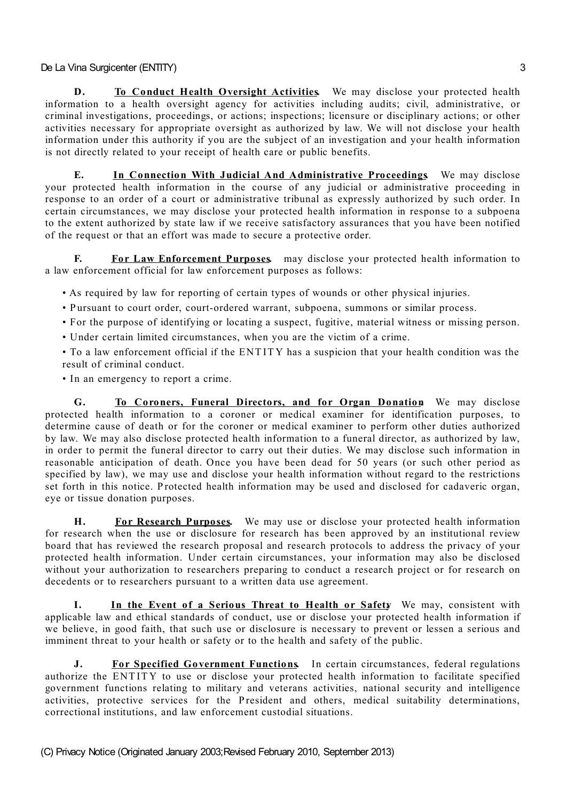**D. To Conduct Health Oversight Activities** We may disclose your protected health information to a health oversight agency for activities including audits; civil, administrative, or criminal investigations, proceedings, or actions; inspections; licensure or disciplinary actions; or other activities necessary for appropriate oversight as authorized by law. We will not disclose your health information under this authority if you are the subject of an investigation and your health information is not directly related to your receipt of health care or public benefits.

**E. In Connection With Judicial And Administrative Proceedings.** We may disclose your protected health information in the course of any judicial or administrative proceeding in response to an order of a court or administrative tribunal as expressly authorized by such order. In certain circumstances, we may disclose your protected health information in response to a subpoena to the extent authorized by state law if we receive satisfactory assurances that you have been notified of the request or that an effort was made to secure a protective order.

**F. For Law Enforcement Purposes.** may disclose your protected health information to a law enforcement official for law enforcement purposes as follows:

• As required by law for reporting of certain types of wounds or other physical injuries.

- Pursuant to court order, court-ordered warrant, subpoena, summons or similar process.
- For the purpose of identifying or locating a suspect, fugitive, material witness or missing person.
- Under certain limited circumstances, when you are the victim of a crime.
- To a law enforcement official if the ENT ITY has a suspicion that your health condition was the result of criminal conduct.
- In an emergency to report a crime.

**G. To Coroners, Funeral Directors, and for Organ Donation.** We may disclose protected health information to a coroner or medical examiner for identification purposes, to determine cause of death or for the coroner or medical examiner to perform other duties authorized by law. We may also disclose protected health information to a funeral director, as authorized by law, in order to permit the funeral director to carry out their duties. We may disclose such information in reasonable anticipation of death. Once you have been dead for 50 years (or such other period as specified by law), we may use and disclose your health information without regard to the restrictions set forth in this notice. Protected health information may be used and disclosed for cadaveric organ, eye or tissue donation purposes.

**H. For Research Purposes.** We may use or disclose your protected health information for research when the use or disclosure for research has been approved by an institutional review board that has reviewed the research proposal and research protocols to address the privacy of your protected health information. Under certain circumstances, your information may also be disclosed without your authorization to researchers preparing to conduct a research project or for research on decedents or to researchers pursuant to a written data use agreement.

**I. In the Event of a Serious Threat to Health or Safety.** We may, consistent with applicable law and ethical standards of conduct, use or disclose your protected health information if we believe, in good faith, that such use or disclosure is necessary to prevent or lessen a serious and imminent threat to your health or safety or to the health and safety of the public.

**J. For Specified Government Functions.** In certain circumstances, federal regulations authorize the ENT ITY to use or disclose your protected health information to facilitate specified government functions relating to military and veterans activities, national security and intelligence activities, protective services for the President and others, medical suitability determinations, correctional institutions, and law enforcement custodial situations.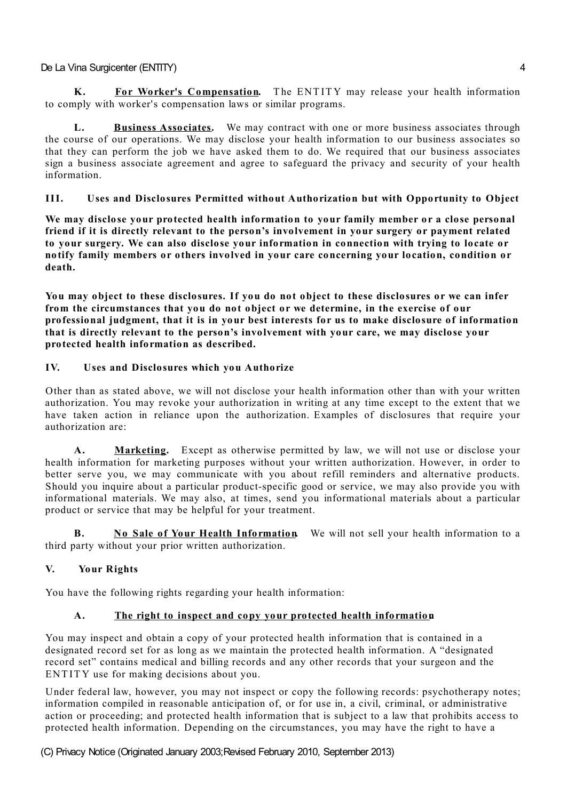**K. For Worker's Compensation.** T he ENT ITY may release your health information to comply with worker's compensation laws or similar programs.

**L. Business Associates.** We may contract with one or more business associates through the course of our operations. We may disclose your health information to our business associates so that they can perform the job we have asked them to do. We required that our business associates sign a business associate agreement and agree to safeguard the privacy and security of your health information.

# **III. Uses and Disclosures Permitted without Authorization but with Opportunity to Object**

**We may disclose your protected health information to your family member or a close personal friend if it is directly relevant to the person's involvement in your surgery or payment related to your surgery. We can also disclose your information in connection with trying to locate or notify family members or others involved in your care concerning your location, condition or death.**

**You may object to these disclosures. If you do not object to these disclosures or we can infer from the circumstances that you do not object or we determine, in the exercise of our professional judgment, that it is in your best interests for us to make disclosure of information that is directly relevant to the person's involvement with your care, we may disclose your protected health information as described.**

# **IV. Uses and Disclosures which you Authorize**

Other than as stated above, we will not disclose your health information other than with your written authorization. You may revoke your authorization in writing at any time except to the extent that we have taken action in reliance upon the authorization. Examples of disclosures that require your authorization are:

**A. Marketing.** Except as otherwise permitted by law, we will not use or disclose your health information for marketing purposes without your written authorization. However, in order to better serve you, we may communicate with you about refill reminders and alternative products. Should you inquire about a particular product-specific good or service, we may also provide you with informational materials. We may also, at times, send you informational materials about a particular product or service that may be helpful for your treatment.

**B. No Sale of Your Health Information.** We will not sell your health information to a third party without your prior written authorization.

# **V. Your Rights**

You have the following rights regarding your health information:

# **A. The right to inspect and copy your protected health information.**

You may inspect and obtain a copy of your protected health information that is contained in a designated record set for as long as we maintain the protected health information. A "designated record set" contains medical and billing records and any other records that your surgeon and the ENTITY use for making decisions about you.

Under federal law, however, you may not inspect or copy the following records: psychotherapy notes; information compiled in reasonable anticipation of, or for use in, a civil, criminal, or administrative action or proceeding; and protected health information that is subject to a law that prohibits access to protected health information. Depending on the circumstances, you may have the right to have a

(C) Privacy Notice (Originated January 2003;Revised February 2010, September 2013)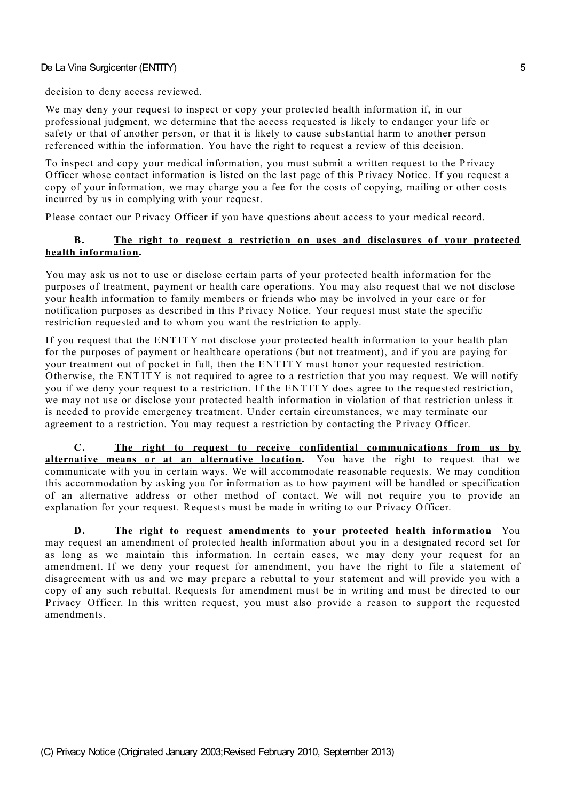decision to deny access reviewed.

We may deny your request to inspect or copy your protected health information if, in our professional judgment, we determine that the access requested is likely to endanger your life or safety or that of another person, or that it is likely to cause substantial harm to another person referenced within the information. You have the right to request a review of this decision.

To inspect and copy your medical information, you must submit a written request to the P rivacy Officer whose contact information is listed on the last page of this P rivacy Notice. If you request a copy of your information, we may charge you a fee for the costs of copying, mailing or other costs incurred by us in complying with your request.

P lease contact our P rivacy Officer if you have questions about access to your medical record.

### **B. The right to request a restriction on uses and disclosures of your protected health information.**

You may ask us not to use or disclose certain parts of your protected health information for the purposes of treatment, payment or health care operations. You may also request that we not disclose your health information to family members or friends who may be involved in your care or for notification purposes as described in this Privacy Notice. Your request must state the specific restriction requested and to whom you want the restriction to apply.

If you request that the ENT ITY not disclose your protected health information to your health plan for the purposes of payment or healthcare operations (but not treatment), and if you are paying for your treatment out of pocket in full, then the ENT ITY must honor your requested restriction. Otherwise, the ENT ITY is not required to agree to a restriction that you may request. We will notify you if we deny your request to a restriction. If the ENT ITY does agree to the requested restriction, we may not use or disclose your protected health information in violation of that restriction unless it is needed to provide emergency treatment. Under certain circumstances, we may terminate our agreement to a restriction. You may request a restriction by contacting the Privacy Officer.

**C. The right to request to receive confidential communications from us by alternative means or at an alternative location.** You have the right to request that we communicate with you in certain ways. We will accommodate reasonable requests. We may condition this accommodation by asking you for information as to how payment will be handled or specification of an alternative address or other method of contact. We will not require you to provide an explanation for your request. Requests must be made in writing to our Privacy Officer.

**D. The right to request amendments to your protected health information.** You may request an amendment of protected health information about you in a designated record set for as long as we maintain this information. In certain cases, we may deny your request for an amendment. If we deny your request for amendment, you have the right to file a statement of disagreement with us and we may prepare a rebuttal to your statement and will provide you with a copy of any such rebuttal. Requests for amendment must be in writing and must be directed to our P rivacy Officer. In this written request, you must also provide a reason to support the requested amendments.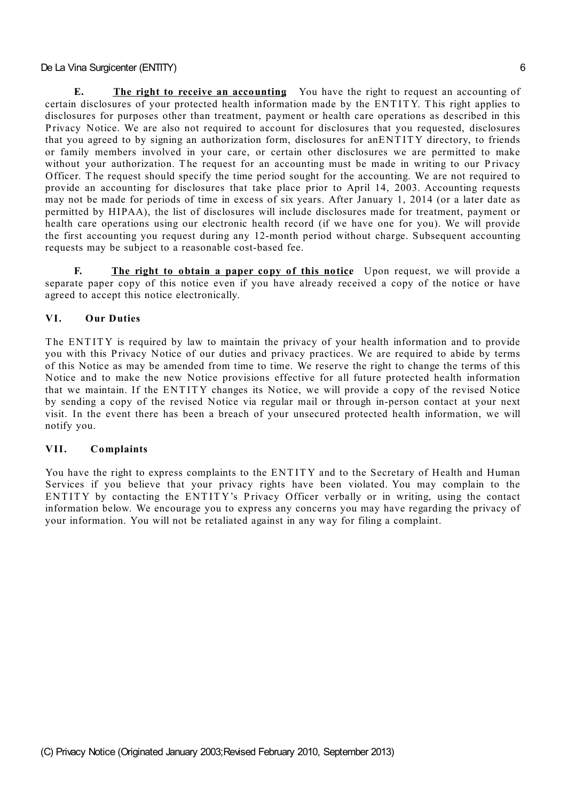**E. The right to receive an accounting.** You have the right to request an accounting of certain disclosures of your protected health information made by the ENT ITY. T his right applies to disclosures for purposes other than treatment, payment or health care operations as described in this P rivacy Notice. We are also not required to account for disclosures that you requested, disclosures that you agreed to by signing an authorization form, disclosures for anENT ITY directory, to friends or family members involved in your care, or certain other disclosures we are permitted to make without your authorization. The request for an accounting must be made in writing to our Privacy Officer. The request should specify the time period sought for the accounting. We are not required to provide an accounting for disclosures that take place prior to April 14, 2003. Accounting requests may not be made for periods of time in excess of six years. After January 1, 2014 (or a later date as permitted by HIPAA), the list of disclosures will include disclosures made for treatment, payment or health care operations using our electronic health record (if we have one for you). We will provide the first accounting you request during any 12-month period without charge. Subsequent accounting requests may be subject to a reasonable cost-based fee.

**F. The right to obtain a paper copy of this notice.** Upon request, we will provide a separate paper copy of this notice even if you have already received a copy of the notice or have agreed to accept this notice electronically.

## **VI. Our Duties**

The ENTITY is required by law to maintain the privacy of your health information and to provide you with this Privacy Notice of our duties and privacy practices. We are required to abide by terms of this Notice as may be amended from time to time. We reserve the right to change the terms of this Notice and to make the new Notice provisions effective for all future protected health information that we maintain. If the ENT ITY changes its Notice, we will provide a copy of the revised Notice by sending a copy of the revised Notice via regular mail or through in-person contact at your next visit. In the event there has been a breach of your unsecured protected health information, we will notify you.

### **VII. Complaints**

You have the right to express complaints to the ENT ITY and to the Secretary of Health and Human Services if you believe that your privacy rights have been violated. You may complain to the ENTITY by contacting the ENTITY's Privacy Officer verbally or in writing, using the contact information below. We encourage you to express any concerns you may have regarding the privacy of your information. You will not be retaliated against in any way for filing a complaint.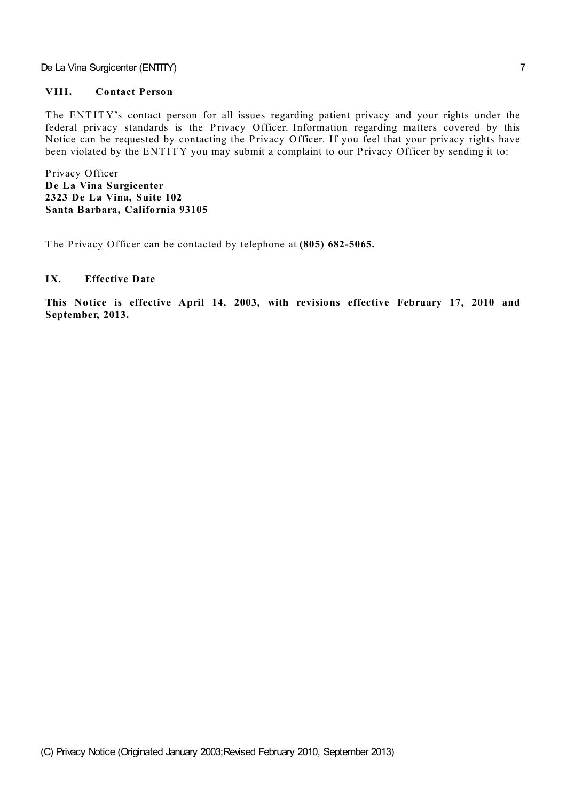## **VIII. Contact Person**

The ENTITY's contact person for all issues regarding patient privacy and your rights under the federal privacy standards is the Privacy Officer. Information regarding matters covered by this Notice can be requested by contacting the Privacy Officer. If you feel that your privacy rights have been violated by the ENTITY you may submit a complaint to our Privacy Officer by sending it to:

P rivacy Officer **De La Vina Surgicenter 2323 De La Vina, Suite 102 Santa Barbara, California 93105**

The Privacy Officer can be contacted by telephone at (805) 682-5065.

### **IX. Effective Date**

**This Notice is effective April 14, 2003, with revisions effective February 17, 2010 and September, 2013.**